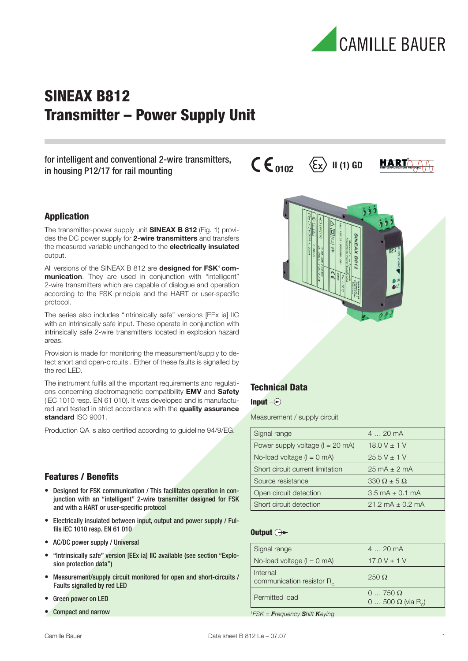

## SINEAX B812 Transmitter – Power Supply Unit

for intelligent and conventional 2-wire transmitters, in housing P12/17 for rail mounting

## Application

The transmitter-power supply unit **SINEAX B 812** (Fig. 1) provides the DC power supply for **2-wire transmitters** and transfers the measured variable unchanged to the **electrically insulated** output.

All versions of the SINEAX B 812 are **designed for FSK<sup>1</sup> communication**. They are used in conjunction with "intelligent" 2-wire transmitters which are capable of dialogue and operation according to the FSK principle and the HART or user-specific protocol.

The series also includes "intrinsically safe" versions [EEx ia] IIC with an intrinsically safe input. These operate in conjunction with intrinsically safe 2-wire transmitters located in explosion hazard areas.

Provision is made for monitoring the measurement/supply to detect short and open-circuits . Either of these faults is signalled by the red LED.

The instrument fulfils all the important requirements and regulations concerning electromagnetic compatibility **EMV** and **Safety** (IEC 1010 resp. EN 61 010). It was developed and is manufactured and tested in strict accordance with the **quality assurance standard** ISO 9001.

Production QA is also certified according to quideline 94/9/EG.

## **Features / Benefits**

- Designed for FSK communication / This facilitates operation in conjunction with an "intelligent" 2-wire transmitter designed for FSK and with a HART or user-specific protocol
- Electrically insulated between input, output and power supply / Fulfils IEC 1010 resp. EN 61 010
- AC/DC power supply / Universal
- "Intrinsically safe" version [EEx ia] IIC available (see section "Explosion protection data")
- Measurement/supply circuit monitored for open and short-circuits / Faults signalled by red LED
- Green power on LED
- Compact and narrow



 $\mathsf{CE}_{\mathsf{nnn2}}$   $\langle \xi_{\mathbf{x}} \rangle$  II (1) GD

## Technical Data

#### Input  $\bigcirc$

Measurement / supply circuit

| Signal range                         | 420mA                               |
|--------------------------------------|-------------------------------------|
| Power supply voltage ( $I = 20$ mA)  | $18.0 V \pm 1 V$                    |
| No-load voltage $(I = 0 \text{ mA})$ | $25.5 V \pm 1 V$                    |
| Short circuit current limitation     | $25 \text{ mA} \pm 2 \text{ mA}$    |
| Source resistance                    | $330 \Omega \pm 5 \Omega$           |
| Open circuit detection               | $3.5 \text{ mA} \pm 0.1 \text{ mA}$ |
| Short circuit detection              | $21.2 \text{ mA} + 0.2 \text{ mA}$  |

## Output  $\ominus\rightarrow$

| Signal range                                      | 420mA                                                       |
|---------------------------------------------------|-------------------------------------------------------------|
| No-load voltage $(I = 0 \text{ mA})$              | 17.0 V $\pm$ 1 V                                            |
| Internal<br>communication resistor R <sub>c</sub> | $250 \Omega$                                                |
| Permitted load                                    | $0 \dots 750 \Omega$<br>$0500 \Omega$ (via R <sub>c</sub> ) |

*1 FSK = Frequency Shift Keying*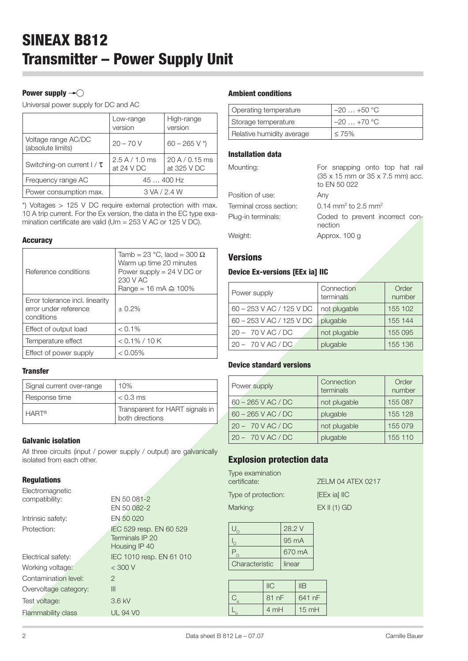## Power supply  $\rightarrow \bigcirc$

Universal power supply for DC and AC

|                                          | Low-range<br>version           | High-range<br>version         |
|------------------------------------------|--------------------------------|-------------------------------|
| Voltage range AC/DC<br>(absolute limits) | $20 - 70V$                     | $60 - 265$ V *)               |
| Switching-on current $1 / \tau$          | 2.5 A / 1.0 ms<br>at $24$ V DC | 20 A / 0.15 ms<br>at 325 V DC |
| Frequency range AC                       | 45  400 Hz                     |                               |
| Power consumption max.                   | 3 VA / 2.4 W                   |                               |

\*) Voltages > 125 V DC require external protection with max. 10 A trip current. For the Ex version, the data in the EC type examination certificate are valid (Um =  $253$  V AC or 125 V DC).

#### **Accuracy**

| Reference conditions                                                   | Tamb = 23 °C, laod = 300 $\Omega$<br>Warm up time 20 minutes<br>Power supply $= 24$ V DC or<br>230 V AC<br>Range = 16 mA $\triangle$ 100% |
|------------------------------------------------------------------------|-------------------------------------------------------------------------------------------------------------------------------------------|
| Error tolerance incl. linearity<br>error under reference<br>conditions | $+0.2%$                                                                                                                                   |
| Effect of output load                                                  | $< 0.1\%$                                                                                                                                 |
| Temperature effect                                                     | $< 0.1\% / 10 K$                                                                                                                          |
| Effect of power supply                                                 | $< 0.05\%$                                                                                                                                |

### **Transfer**

| Signal current over-range | 10%                                                |
|---------------------------|----------------------------------------------------|
| Response time             | $< 0.3$ ms                                         |
| <b>HART®</b>              | Transparent for HART signals in<br>both directions |

## Galvanic isolation

All three circuits (input / power supply / output) are galvanically isolated from each other.

## Regulations

| Electromagnetic           |                          |
|---------------------------|--------------------------|
| compatibility:            | EN 50 081-2              |
|                           | EN 50 082-2              |
| Intrinsic safety:         | EN 50 020                |
| Protection:               | IEC 529 resp. EN 60 529  |
|                           | Terminals IP 20          |
|                           | Housing IP 40            |
| Electrical safety:        | IEC 1010 resp. EN 61 010 |
| Working voltage:          | $<$ 300 V                |
| Contamination level:      | 2                        |
| Overvoltage category:     | III                      |
| Test voltage:             | 3.6 kV                   |
| <b>Flammability class</b> | <b>UL 94 VO</b>          |

#### Ambient conditions

| Operating temperature     | $-20+50$ °C |
|---------------------------|-------------|
| Storage temperature       | $-20+70$ °C |
| Relative humidity average | $\leq 75\%$ |

## Installation data

| Mounting:               | For snapping onto top hat rail<br>(35 x 15 mm or 35 x 7.5 mm) acc.<br>to EN 50 022 |  |
|-------------------------|------------------------------------------------------------------------------------|--|
| Position of use:        | Any                                                                                |  |
| Terminal cross section: | 0.14 mm <sup>2</sup> to 2.5 mm <sup>2</sup>                                        |  |
| Plug-in terminals:      | Coded to prevent incorrect con-<br>nection                                         |  |
| Weight:                 | Approx. 100 g                                                                      |  |
|                         |                                                                                    |  |

## **Versions**

## Device Ex-versions [EEx ia] IIC

| Power supply             | Connection<br>terminals | Order<br>number |
|--------------------------|-------------------------|-----------------|
| 60 - 253 V AC / 125 V DC | not plugable            | 155 102         |
| 60 - 253 V AC / 125 V DC | plugable                | 155 144         |
| $20 - 70$ V AC / DC      | not plugable            | 155 095         |
| $20 - 70$ V AC / DC      | plugable                | 155 136         |

## Device standard versions

| Power supply         | Connection<br>terminals | Order<br>number |
|----------------------|-------------------------|-----------------|
| 60 - 265 V AC / DC   | not plugable            | 155 087         |
| $60 - 265$ V AC / DC | plugable                | 155 128         |
| $20 - 70$ V AC / DC  | not plugable            | 155 079         |
| $20 - 70$ V AC / DC  | plugable                | 155 110         |

## Explosion protection data

Type examination certificate: ZELM 04 ATEX 0217

Type of protection: [EEx ia] IIC

Marking: EX II (1) GD

|                | 28.2 V          |
|----------------|-----------------|
|                | $95 \text{ mA}$ |
|                | 670 mA          |
| Characteristic | linear          |

| $II$  | IIB     |
|-------|---------|
| 81 nF | 641 nF  |
| 4 mH  | $15$ mH |